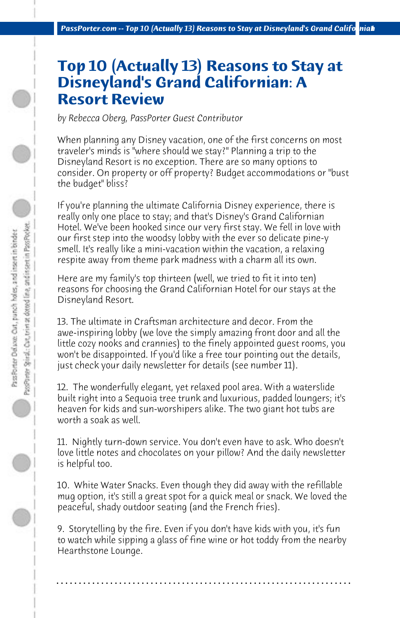## **Top 10 (Actually 13) Reasons to Stay at Disneyland's Grand Californian: A Resort Review**

*by Rebecca Oberg, PassPorter Guest Contributor*

When planning any Disney vacation, one of the first concerns on most traveler's minds is "where should we stay?" Planning a trip to the Disneyland Resort is no exception. There are so many options to consider. On property or off property? Budget accommodations or "bust the budget" bliss?

If you're planning the ultimate California Disney experience, there is really only one place to stay; and that's Disney's Grand Californian Hotel. We've been hooked since our very first stay. We fell in love with our first step into the woodsy lobby with the ever so delicate pine-y smell. It's really like a mini-vacation within the vacation, a relaxing respite away from theme park madness with a charm all its own.

Here are my family's top thirteen (well, we tried to fit it into ten) reasons for choosing the Grand Californian Hotel for our stays at the Disneyland Resort.

13. The ultimate in Craftsman architecture and decor. From the awe-inspiring lobby (we love the simply amazing front door and all the little cozy nooks and crannies) to the finely appointed guest rooms, you won't be disappointed. If you'd like a free tour pointing out the details, just check your daily newsletter for details (see number 11).

12. The wonderfully elegant, yet relaxed pool area. With a waterslide built right into a Sequoia tree trunk and luxurious, padded loungers; it's heaven for kids and sun-worshipers alike. The two giant hot tubs are worth a soak as well.

11. Nightly turn-down service. You don't even have to ask. Who doesn't love little notes and chocolates on your pillow? And the daily newsletter is helpful too.

10. White Water Snacks. Even though they did away with the refillable mug option, it's still a great spot for a quick meal or snack. We loved the peaceful, shady outdoor seating (and the French fries).

9. Storytelling by the fire. Even if you don't have kids with you, it's fun to watch while sipping a glass of fine wine or hot toddy from the nearby Hearthstone Lounge.

**. . . . . . . . . . . . . . . . . . . . . . . . . . . . . . . . . . . . . . . . . . . . . . . . . . . . . . . . . . . . . . . . . .**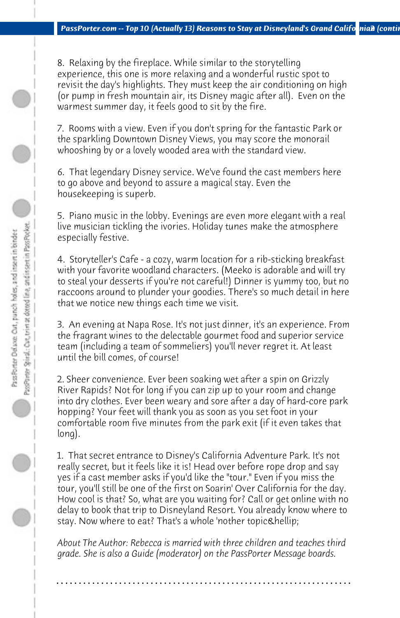8. Relaxing by the fireplace. While similar to the storytelling experience, this one is more relaxing and a wonderful rustic spot to revisit the day's highlights. They must keep the air conditioning on high (or pump in fresh mountain air, its Disney magic after all). Even on the warmest summer day, it feels good to sit by the fire.

7. Rooms with a view. Even if you don't spring for the fantastic Park or the sparkling Downtown Disney Views, you may score the monorail whooshing by or a lovely wooded area with the standard view.

6. That legendary Disney service. We've found the cast members here to go above and beyond to assure a magical stay. Even the housekeeping is superb.

5. Piano music in the lobby. Evenings are even more elegant with a real live musician tickling the ivories. Holiday tunes make the atmosphere especially festive.

4. Storyteller's Cafe - a cozy, warm location for a rib-sticking breakfast with your favorite woodland characters. (Meeko is adorable and will try to steal your desserts if you're not careful!) Dinner is yummy too, but no raccoons around to plunder your goodies. There's so much detail in here that we notice new things each time we visit.

3. An evening at Napa Rose. It's not just dinner, it's an experience. From the fragrant wines to the delectable gourmet food and superior service team (including a team of sommeliers) you'll never regret it. At least until the bill comes, of course!

2. Sheer convenience. Ever been soaking wet after a spin on Grizzly River Rapids? Not for long if you can zip up to your room and change into dry clothes. Ever been weary and sore after a day of hard-core park hopping? Your feet will thank you as soon as you set foot in your comfortable room five minutes from the park exit (if it even takes that long).

1. That secret entrance to Disney's California Adventure Park. It's not really secret, but it feels like it is! Head over before rope drop and say yes if a cast member asks if you'd like the "tour." Even if you miss the tour, you'll still be one of the first on Soarin' Over California for the day. How cool is that? So, what are you waiting for? Call or get online with no delay to book that trip to Disneyland Resort. You already know where to stay. Now where to eat? That's a whole 'nother topic…

*About The Author: Rebecca is married with three children and teaches third grade. She is also a Guide (moderator) on the PassPorter Message boards.*

**. . . . . . . . . . . . . . . . . . . . . . . . . . . . . . . . . . . . . . . . . . . . . . . . . . . . . . . . . . . . . . . . . .**